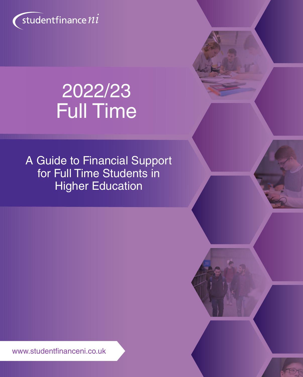

# 2022/23 Full Time

A Guide to Financial Support for Full Time Students in Higher Education

www.studentfinanceni.co.uk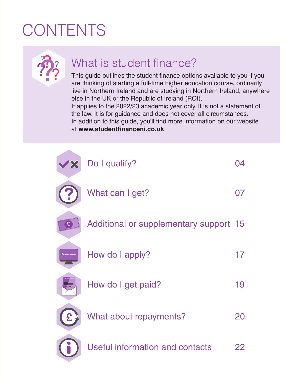# **CONTENTS**

This guide outlines the student finance options available to you if you are thinking of starting a full-time higher education course, ordinarily live in Northern Ireland and are studying in Northern Ireland, anywhere else in the UK or the Republic of Ireland (ROI).

It applies to the 2022/23 academic year only. It is not a statement of the law. It is for guidance and does not cover all circumstances. In addition to this guide, you'll find more information on our website at **www.studentfinanceni.co.uk**

| $\overline{\mathbf{X}}$   | Do I qualify?                          | ( )4 |
|---------------------------|----------------------------------------|------|
|                           | What can I get?                        | 07   |
| £                         | Additional or supplementary support 15 |      |
| studentfinance ?!!        | How do I apply?                        | 17   |
|                           | How do I get paid?                     | 19   |
| $\boldsymbol{\mathsf{E}}$ | What about repayments?                 | 20   |
|                           | <b>Useful information and contacts</b> | 22   |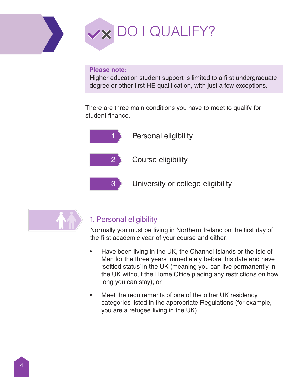

#### **Please note:**

Higher education student support is limited to a first undergraduate degree or other first HE qualification, with just a few exceptions.

There are three main conditions you have to meet to qualify for student finance.



Personal eligibility

Course eligibility

3 University or college eligibility



### 1. Personal eligibility

Normally you must be living in Northern Ireland on the first day of the first academic year of your course and either:

- Have been living in the UK, the Channel Islands or the Isle of Man for the three years immediately before this date and have 'settled status' in the UK (meaning you can live permanently in the UK without the Home Office placing any restrictions on how long you can stay); or
- Meet the requirements of one of the other UK residency categories listed in the appropriate Regulations (for example, you are a refugee living in the UK).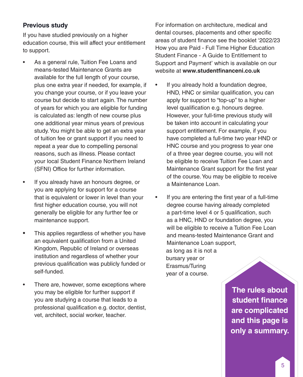#### **Previous study**

If you have studied previously on a higher education course, this will affect your entitlement to support.

- As a general rule, Tuition Fee Loans and means-tested Maintenance Grants are available for the full length of your course, plus one extra year if needed, for example, if you change your course, or if you leave your course but decide to start again. The number of years for which you are eligible for funding is calculated as: length of new course plus one additional year minus years of previous study. You might be able to get an extra year of tuition fee or grant support if you need to repeat a year due to compelling personal reasons, such as illness. Please contact your local Student Finance Northern Ireland (SFNI) Office for further information.
- If you already have an honours degree, or you are applying for support for a course that is equivalent or lower in level than your first higher education course, you will not generally be eligible for any further fee or maintenance support.
- This applies regardless of whether you have an equivalent qualification from a United Kingdom, Republic of Ireland or overseas institution and regardless of whether your previous qualification was publicly funded or self-funded.
- There are, however, some exceptions where you may be eligible for further support if you are studying a course that leads to a professional qualification e.g. doctor, dentist, vet, architect, social worker, teacher.

For information on architecture, medical and dental courses, placements and other specific areas of student finance see the booklet '2022/23 How you are Paid - Full Time Higher Education Student Finance - A Guide to Entitlement to Support and Payment' which is available on our website at **www.studentfinanceni.co.uk**

- If you already hold a foundation degree, HND, HNC or similar qualification, you can apply for support to "top-up" to a higher level qualification e.g. honours degree. However, your full-time previous study will be taken into account in calculating your support entitlement. For example, if you have completed a full-time two year HND or HNC course and you progress to year one of a three year degree course, you will not be eligible to receive Tuition Fee Loan and Maintenance Grant support for the first year of the course. You may be eligible to receive a Maintenance Loan.
- If you are entering the first year of a full-time degree course having already completed a part-time level 4 or 5 qualification, such as a HNC, HND or foundation degree, you will be eligible to receive a Tuition Fee Loan and means-tested Maintenance Grant and Maintenance Loan support, as long as it is not a bursary year or Erasmus/Turing year of a course.

**The rules about student finance are complicated and this page is only a summary.**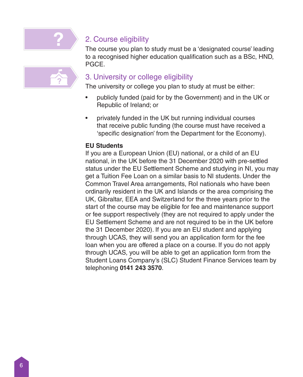

## 2. Course eligibility

The course you plan to study must be a 'designated course' leading to a recognised higher education qualification such as a BSc, HND, PGCE.

### 3. University or college eligibility

The university or college you plan to study at must be either:

- publicly funded (paid for by the Government) and in the UK or Republic of Ireland; or
- privately funded in the UK but running individual courses that receive public funding (the course must have received a 'specific designation' from the Department for the Economy).

### **EU Students**

If you are a European Union (EU) national, or a child of an EU national, in the UK before the 31 December 2020 with pre-settled status under the EU Settlement Scheme and studying in NI, you may get a Tuition Fee Loan on a similar basis to NI students. Under the Common Travel Area arrangements, RoI nationals who have been ordinarily resident in the UK and Islands or the area comprising the UK, Gibraltar, EEA and Switzerland for the three years prior to the start of the course may be eligible for fee and maintenance support or fee support respectively (they are not required to apply under the EU Settlement Scheme and are not required to be in the UK before the 31 December 2020). If you are an EU student and applying through UCAS, they will send you an application form for the fee loan when you are offered a place on a course. If you do not apply through UCAS, you will be able to get an application form from the Student Loans Company's (SLC) Student Finance Services team by telephoning **0141 243 3570**.

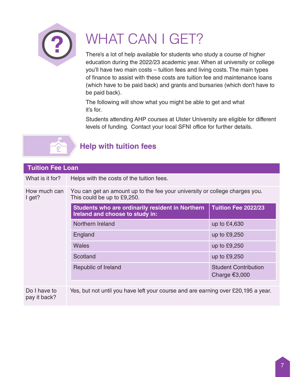

# WHAT CAN I GET?

There's a lot of help available for students who study a course of higher education during the 2022/23 academic year. When at university or college you'll have two main costs – tuition fees and living costs. The main types of finance to assist with these costs are tuition fee and maintenance loans (which have to be paid back) and grants and bursaries (which don't have to be paid back).

The following will show what you might be able to get and what it's for.

Students attending AHP courses at Ulster University are eligible for different levels of funding. Contact your local SFNI office for further details.



## **Help with tuition fees**

| <b>Tuition Fee Loan</b>      |                                                                                                            |                                                |  |
|------------------------------|------------------------------------------------------------------------------------------------------------|------------------------------------------------|--|
| What is it for?              | Helps with the costs of the tuition fees.                                                                  |                                                |  |
| How much can<br>I get?       | You can get an amount up to the fee your university or college charges you.<br>This could be up to £9,250. |                                                |  |
|                              | Students who are ordinarily resident in Northern<br>Ireland and choose to study in:                        | Tuition Fee 2022/23                            |  |
|                              | Northern Ireland                                                                                           | up to £4,630                                   |  |
|                              | England                                                                                                    | up to £9,250                                   |  |
|                              | Wales                                                                                                      | up to $£9,250$                                 |  |
|                              | Scotland                                                                                                   | up to £9,250                                   |  |
|                              | Republic of Ireland                                                                                        | <b>Student Contribution</b><br>Charge $€3,000$ |  |
|                              |                                                                                                            |                                                |  |
| Do I have to<br>pay it back? | Yes, but not until you have left your course and are earning over £20,195 a year.                          |                                                |  |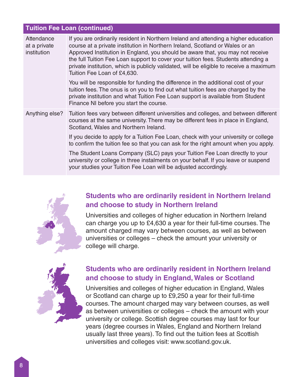#### **Tuition Fee Loan (continued)**

| Attendance<br>at a private<br>institution | If you are ordinarily resident in Northern Ireland and attending a higher education<br>course at a private institution in Northern Ireland, Scotland or Wales or an<br>Approved Institution in England, you should be aware that, you may not receive<br>the full Tuition Fee Loan support to cover your tuition fees. Students attending a<br>private institution, which is publicly validated, will be eligible to receive a maximum<br>Tuition Fee Loan of £4,630. |
|-------------------------------------------|-----------------------------------------------------------------------------------------------------------------------------------------------------------------------------------------------------------------------------------------------------------------------------------------------------------------------------------------------------------------------------------------------------------------------------------------------------------------------|
|                                           | You will be responsible for funding the difference in the additional cost of your<br>tuition fees. The onus is on you to find out what tuition fees are charged by the<br>private institution and what Tuition Fee Loan support is available from Student<br>Finance NI before you start the course.                                                                                                                                                                  |
| Anything else?                            | Tuition fees vary between different universities and colleges, and between different<br>courses at the same university. There may be different fees in place in England,<br>Scotland, Wales and Northern Ireland.                                                                                                                                                                                                                                                     |
|                                           | If you decide to apply for a Tuition Fee Loan, check with your university or college<br>to confirm the tuition fee so that you can ask for the right amount when you apply.                                                                                                                                                                                                                                                                                           |
|                                           | The Student Loans Company (SLC) pays your Tuition Fee Loan directly to your<br>university or college in three instalments on your behalf. If you leave or suspend<br>your studies your Tuition Fee Loan will be adjusted accordingly.                                                                                                                                                                                                                                 |



### **Students who are ordinarily resident in Northern Ireland and choose to study in Northern Ireland**

Universities and colleges of higher education in Northern Ireland can charge you up to £4,630 a year for their full-time courses. The amount charged may vary between courses, as well as between universities or colleges – check the amount your university or college will charge.



### **Students who are ordinarily resident in Northern Ireland and choose to study in England, Wales or Scotland**

Universities and colleges of higher education in England, Wales or Scotland can charge up to £9,250 a year for their full-time courses. The amount charged may vary between courses, as well as between universities or colleges – check the amount with your university or college. Scottish degree courses may last for four years (degree courses in Wales, England and Northern Ireland usually last three years). To find out the tuition fees at Scottish universities and colleges visit: www.scotland.gov.uk.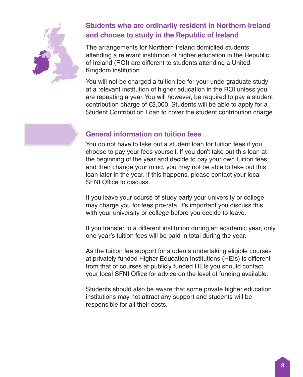

## **Students who are ordinarily resident in Northern Ireland and choose to study in the Republic of Ireland**

The arrangements for Northern Ireland domiciled students attending a relevant institution of higher education in the Republic of Ireland (ROI) are different to students attending a United Kingdom institution.

You will not be charged a tuition fee for your undergraduate study at a relevant institution of higher education in the ROI unless you are repeating a year. You will however, be required to pay a student contribution charge of €3,000. Students will be able to apply for a Student Contribution Loan to cover the student contribution charge.

### **General information on tuition fees**

You do not have to take out a student loan for tuition fees if you choose to pay your fees yourself. If you don't take out this loan at the beginning of the year and decide to pay your own tuition fees and then change your mind, you may not be able to take out this loan later in the year. If this happens, please contact your local SFNI Office to discuss.

If you leave your course of study early your university or college may charge you for fees pro-rata. It's important you discuss this with your university or college before you decide to leave.

If you transfer to a different institution during an academic year, only one year's tuition fees will be paid in total during the year.

As the tuition fee support for students undertaking eligible courses at privately funded Higher Education Institutions (HEIs) is different from that of courses at publicly funded HEIs you should contact your local SFNI Office for advice on the level of funding available.

Students should also be aware that some private higher education institutions may not attract any support and students will be responsible for all their costs.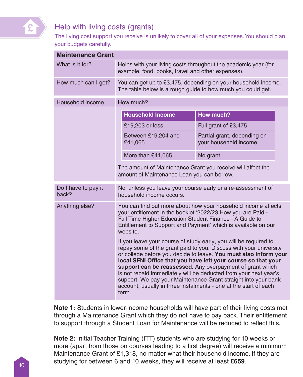

## Help with living costs (grants)

The living cost support you receive is unlikely to cover all of your expenses. You should plan your budgets carefully.

| <b>Maintenance Grant</b>     |                                                                                                                                                                                                                                                                                                                                                                                                                                                                                                                                                            |                                                      |  |  |
|------------------------------|------------------------------------------------------------------------------------------------------------------------------------------------------------------------------------------------------------------------------------------------------------------------------------------------------------------------------------------------------------------------------------------------------------------------------------------------------------------------------------------------------------------------------------------------------------|------------------------------------------------------|--|--|
| What is it for?              | Helps with your living costs throughout the academic year (for<br>example, food, books, travel and other expenses).                                                                                                                                                                                                                                                                                                                                                                                                                                        |                                                      |  |  |
| How much can I get?          | You can get up to £3,475, depending on your household income.<br>The table below is a rough guide to how much you could get.                                                                                                                                                                                                                                                                                                                                                                                                                               |                                                      |  |  |
| Household income             | How much?                                                                                                                                                                                                                                                                                                                                                                                                                                                                                                                                                  |                                                      |  |  |
|                              | <b>Household Income</b>                                                                                                                                                                                                                                                                                                                                                                                                                                                                                                                                    | <b>How much?</b>                                     |  |  |
|                              | £19,203 or less                                                                                                                                                                                                                                                                                                                                                                                                                                                                                                                                            | Full grant of £3,475                                 |  |  |
|                              | Between £19,204 and<br>£41,065                                                                                                                                                                                                                                                                                                                                                                                                                                                                                                                             | Partial grant, depending on<br>your household income |  |  |
|                              | More than £41,065                                                                                                                                                                                                                                                                                                                                                                                                                                                                                                                                          | No grant                                             |  |  |
|                              | The amount of Maintenance Grant you receive will affect the<br>amount of Maintenance Loan you can borrow.                                                                                                                                                                                                                                                                                                                                                                                                                                                  |                                                      |  |  |
| Do I have to pay it<br>back? | No, unless you leave your course early or a re-assessment of<br>household income occurs.                                                                                                                                                                                                                                                                                                                                                                                                                                                                   |                                                      |  |  |
| Anything else?               | You can find out more about how your household income affects<br>your entitlement in the booklet '2022/23 How you are Paid -<br>Full Time Higher Education Student Finance - A Guide to<br>Entitlement to Support and Payment' which is available on our<br>website.                                                                                                                                                                                                                                                                                       |                                                      |  |  |
|                              | If you leave your course of study early, you will be required to<br>repay some of the grant paid to you. Discuss with your university<br>or college before you decide to leave. You must also inform your<br>local SFNI Office that you have left your course so that your<br>support can be reassessed. Any overpayment of grant which<br>is not repaid immediately will be deducted from your next year's<br>support. We pay your Maintenance Grant straight into your bank<br>account, usually in three instalments - one at the start of each<br>term. |                                                      |  |  |

**Note 1:** Students in lower-income households will have part of their living costs met through a Maintenance Grant which they do not have to pay back. Their entitlement to support through a Student Loan for Maintenance will be reduced to reflect this.

**Note 2:** Initial Teacher Training (ITT) students who are studying for 10 weeks or more (apart from those on courses leading to a first degree) will receive a minimum Maintenance Grant of £1,318, no matter what their household income. If they are studying for between 6 and 10 weeks, they will receive at least £659.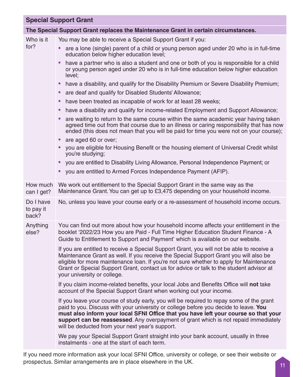|                                 | <b>Special Support Grant</b>                                                                                                                                                                                                                                                                                                                                                                                      |
|---------------------------------|-------------------------------------------------------------------------------------------------------------------------------------------------------------------------------------------------------------------------------------------------------------------------------------------------------------------------------------------------------------------------------------------------------------------|
|                                 | The Special Support Grant replaces the Maintenance Grant in certain circumstances.                                                                                                                                                                                                                                                                                                                                |
| Who is it                       | You may be able to receive a Special Support Grant if you:                                                                                                                                                                                                                                                                                                                                                        |
| for?                            | are a lone (single) parent of a child or young person aged under 20 who is in full-time<br>education below higher education level;                                                                                                                                                                                                                                                                                |
|                                 | have a partner who is also a student and one or both of you is responsible for a child<br>$\bullet$<br>or young person aged under 20 who is in full-time education below higher education<br>level;                                                                                                                                                                                                               |
|                                 | have a disability, and qualify for the Disability Premium or Severe Disability Premium;<br>٠                                                                                                                                                                                                                                                                                                                      |
|                                 | are deaf and qualify for Disabled Students' Allowance;<br>٠                                                                                                                                                                                                                                                                                                                                                       |
|                                 | have been treated as incapable of work for at least 28 weeks;<br>$\bullet$                                                                                                                                                                                                                                                                                                                                        |
|                                 | have a disability and qualify for income-related Employment and Support Allowance;<br>٠                                                                                                                                                                                                                                                                                                                           |
|                                 | are waiting to return to the same course within the same academic year having taken<br>$\bullet$<br>agreed time out from that course due to an illness or caring responsibility that has now<br>ended (this does not mean that you will be paid for time you were not on your course);                                                                                                                            |
|                                 | are aged 60 or over:<br>$\bullet$                                                                                                                                                                                                                                                                                                                                                                                 |
|                                 | you are eligible for Housing Benefit or the housing element of Universal Credit whilst<br>$\bullet$<br>you're studying;                                                                                                                                                                                                                                                                                           |
|                                 | you are entitled to Disability Living Allowance, Personal Independence Payment; or<br>$\bullet$                                                                                                                                                                                                                                                                                                                   |
|                                 | you are entitled to Armed Forces Independence Payment (AFIP).                                                                                                                                                                                                                                                                                                                                                     |
| How much<br>can I get?          | We work out entitlement to the Special Support Grant in the same way as the<br>Maintenance Grant. You can get up to £3,475 depending on your household income.                                                                                                                                                                                                                                                    |
| Do I have<br>to pay it<br>back? | No, unless you leave your course early or a re-assessment of household income occurs.                                                                                                                                                                                                                                                                                                                             |
| Anything<br>else?               | You can find out more about how your household income affects your entitlement in the<br>booklet '2022/23 How you are Paid - Full Time Higher Education Student Finance - A<br>Guide to Entitlement to Support and Payment' which is available on our website.                                                                                                                                                    |
|                                 | If you are entitled to receive a Special Support Grant, you will not be able to receive a<br>Maintenance Grant as well. If you receive the Special Support Grant you will also be<br>eligible for more maintenance loan. If you're not sure whether to apply for Maintenance<br>Grant or Special Support Grant, contact us for advice or talk to the student advisor at<br>your university or college.            |
|                                 | If you claim income-related benefits, your local Jobs and Benefits Office will not take<br>account of the Special Support Grant when working out your income.                                                                                                                                                                                                                                                     |
|                                 | If you leave your course of study early, you will be required to repay some of the grant<br>paid to you. Discuss with your university or college before you decide to leave. You<br>must also inform your local SFNI Office that you have left your course so that your<br>support can be reassessed. Any overpayment of grant which is not repaid immediately<br>will be deducted from your next year's support. |
|                                 | We pay your Special Support Grant straight into your bank account, usually in three<br>instalments - one at the start of each term.                                                                                                                                                                                                                                                                               |

If you need more information ask your local SFNI Office, university or college, or see their website or prospectus. Similar arrangements are in place elsewhere in the UK.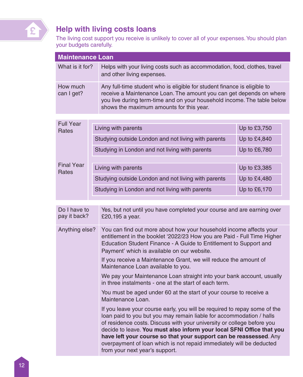

## **Help with living costs loans**

The living cost support you receive is unlikely to cover all of your expenses. You should plan your budgets carefully.

| <b>Maintenance Loan</b>      |  |                                                                                                                                                                                                                                                                                                                                                                                                                                                                                     |              |  |
|------------------------------|--|-------------------------------------------------------------------------------------------------------------------------------------------------------------------------------------------------------------------------------------------------------------------------------------------------------------------------------------------------------------------------------------------------------------------------------------------------------------------------------------|--------------|--|
| What is it for?              |  | Helps with your living costs such as accommodation, food, clothes, travel<br>and other living expenses.                                                                                                                                                                                                                                                                                                                                                                             |              |  |
| How much<br>can I get?       |  | Any full-time student who is eligible for student finance is eligible to<br>receive a Maintenance Loan. The amount you can get depends on where<br>you live during term-time and on your household income. The table below<br>shows the maximum amounts for this year.                                                                                                                                                                                                              |              |  |
|                              |  |                                                                                                                                                                                                                                                                                                                                                                                                                                                                                     |              |  |
| <b>Full Year</b><br>Rates    |  | Living with parents                                                                                                                                                                                                                                                                                                                                                                                                                                                                 | Up to £3,750 |  |
|                              |  | Studying outside London and not living with parents                                                                                                                                                                                                                                                                                                                                                                                                                                 | Up to £4,840 |  |
|                              |  | Studying in London and not living with parents                                                                                                                                                                                                                                                                                                                                                                                                                                      | Up to £6,780 |  |
| <b>Final Year</b>            |  | Living with parents                                                                                                                                                                                                                                                                                                                                                                                                                                                                 | Up to £3,385 |  |
| Rates                        |  |                                                                                                                                                                                                                                                                                                                                                                                                                                                                                     |              |  |
|                              |  | Studying outside London and not living with parents                                                                                                                                                                                                                                                                                                                                                                                                                                 | Up to £4,480 |  |
|                              |  | Studying in London and not living with parents                                                                                                                                                                                                                                                                                                                                                                                                                                      | Up to £6,170 |  |
|                              |  |                                                                                                                                                                                                                                                                                                                                                                                                                                                                                     |              |  |
| Do I have to<br>pay it back? |  | Yes, but not until you have completed your course and are earning over<br>£20,195 a year.                                                                                                                                                                                                                                                                                                                                                                                           |              |  |
| Anything else?               |  | You can find out more about how your household income affects your<br>entitlement in the booklet '2022/23 How you are Paid - Full Time Higher<br>Education Student Finance - A Guide to Entitlement to Support and<br>Payment' which is available on our website.<br>If you receive a Maintenance Grant, we will reduce the amount of                                                                                                                                               |              |  |
|                              |  | Maintenance Loan available to you.                                                                                                                                                                                                                                                                                                                                                                                                                                                  |              |  |
|                              |  | We pay your Maintenance Loan straight into your bank account, usually<br>in three instalments - one at the start of each term.                                                                                                                                                                                                                                                                                                                                                      |              |  |
|                              |  | You must be aged under 60 at the start of your course to receive a<br>Maintenance Loan.                                                                                                                                                                                                                                                                                                                                                                                             |              |  |
|                              |  | If you leave your course early, you will be required to repay some of the<br>loan paid to you but you may remain liable for accommodation / halls<br>of residence costs. Discuss with your university or college before you<br>decide to leave. You must also inform your local SFNI Office that you<br>have left your course so that your support can be reassessed. Any<br>overpayment of loan which is not repaid immediately will be deducted<br>from your next year's support. |              |  |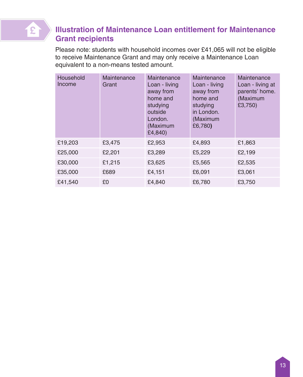

## **Illustration of Maintenance Loan entitlement for Maintenance Grant recipients**

Please note: students with household incomes over £41,065 will not be eligible to receive Maintenance Grant and may only receive a Maintenance Loan equivalent to a non-means tested amount.

| Household<br>Income | Maintenance<br>Grant | Maintenance<br>Loan - living<br>away from<br>home and<br>studying<br>outside<br>London.<br>(Maximum<br>£4,840) | Maintenance<br>Loan - living<br>away from<br>home and<br>studying<br>in London.<br>(Maximum<br>£6,780) | Maintenance<br>Loan - living at<br>parents' home.<br>(Maximum<br>£3,750) |
|---------------------|----------------------|----------------------------------------------------------------------------------------------------------------|--------------------------------------------------------------------------------------------------------|--------------------------------------------------------------------------|
| £19,203             | £3,475               | £2,953                                                                                                         | £4,893                                                                                                 | £1,863                                                                   |
| £25,000             | £2,201               | £3,289                                                                                                         | £5,229                                                                                                 | £2,199                                                                   |
| £30,000             | £1,215               | £3,625                                                                                                         | £5,565                                                                                                 | £2,535                                                                   |
| £35,000             | £689                 | £4,151                                                                                                         | £6,091                                                                                                 | £3,061                                                                   |
| £41,540             | £0                   | £4.840                                                                                                         | £6,780                                                                                                 | £3.750                                                                   |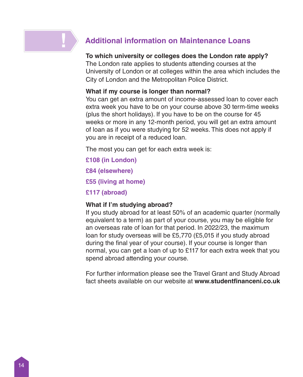## **Additional information on Maintenance Loans**

#### **To which university or colleges does the London rate apply?**

The London rate applies to students attending courses at the University of London or at colleges within the area which includes the City of London and the Metropolitan Police District.

#### **What if my course is longer than normal?**

You can get an extra amount of income-assessed loan to cover each extra week you have to be on your course above 30 term-time weeks (plus the short holidays). If you have to be on the course for 45 weeks or more in any 12-month period, you will get an extra amount of loan as if you were studying for 52 weeks. This does not apply if you are in receipt of a reduced loan.

The most you can get for each extra week is:

- **£108 (in London)**
- **£84 (elsewhere)**
- **£55 (living at home)**
- **£117 (abroad)**

#### **What if I'm studying abroad?**

If you study abroad for at least 50% of an academic quarter (normally equivalent to a term) as part of your course, you may be eligible for an overseas rate of loan for that period. In 2022/23, the maximum loan for study overseas will be £5,770 (£5,015 if you study abroad during the final year of your course). If your course is longer than normal, you can get a loan of up to £117 for each extra week that you spend abroad attending your course.

For further information please see the Travel Grant and Study Abroad fact sheets available on our website at **www.studentfinanceni.co.uk**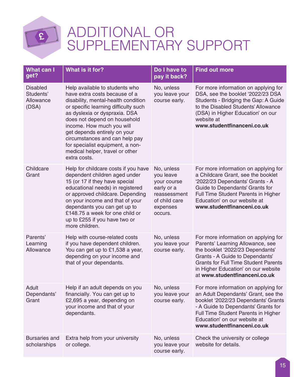

## ADDITIONAL OR SUPPLEMENTARY SUPPORT

| What can I<br>get?                                 | What is it for?                                                                                                                                                                                                                                                                                                                                                                                       | Do I have to<br>pay it back?                                                                                 | <b>Find out more</b>                                                                                                                                                                                                                                                   |
|----------------------------------------------------|-------------------------------------------------------------------------------------------------------------------------------------------------------------------------------------------------------------------------------------------------------------------------------------------------------------------------------------------------------------------------------------------------------|--------------------------------------------------------------------------------------------------------------|------------------------------------------------------------------------------------------------------------------------------------------------------------------------------------------------------------------------------------------------------------------------|
| <b>Disabled</b><br>Students'<br>Allowance<br>(DSA) | Help available to students who<br>have extra costs because of a<br>disability, mental-health condition<br>or specific learning difficulty such<br>as dyslexia or dyspraxia. DSA<br>does not depend on household<br>income. How much you will<br>get depends entirely on your<br>circumstances and can help pay<br>for specialist equipment, a non-<br>medical helper, travel or other<br>extra costs. | No, unless<br>you leave your<br>course early.                                                                | For more information on applying for<br>DSA, see the booklet '2022/23 DSA<br>Students - Bridging the Gap: A Guide<br>to the Disabled Students' Allowance<br>(DSA) in Higher Education' on our<br>website at<br>www.studentfinanceni.co.uk                              |
| Childcare<br>Grant                                 | Help for childcare costs if you have<br>dependent children aged under<br>15 (or 17 if they have special<br>educational needs) in registered<br>or approved childcare. Depending<br>on your income and that of your<br>dependants you can get up to<br>£148.75 a week for one child or<br>up to £255 if you have two or<br>more children.                                                              | No, unless<br>vou leave<br>vour course<br>early or a<br>reassessment<br>of child care<br>expenses<br>occurs. | For more information on applying for<br>a Childcare Grant, see the booklet<br>'2022/23 Dependants' Grants - A<br>Guide to Dependants' Grants for<br>Full Time Student Parents in Higher<br>Education' on our website at<br>www.studentfinanceni.co.uk                  |
| Parents'<br>Learning<br>Allowance                  | Help with course-related costs<br>if you have dependent children.<br>You can get up to £1,538 a year,<br>depending on your income and<br>that of your dependants.                                                                                                                                                                                                                                     | No, unless<br>you leave your<br>course early.                                                                | For more information on applying for<br>Parents' Learning Allowance, see<br>the booklet '2022/23 Dependants'<br>Grants - A Guide to Dependants'<br><b>Grants for Full Time Student Parents</b><br>in Higher Education' on our website<br>at www.studentfinanceni.co.uk |
| Adult<br>Dependants'<br>Grant                      | Help if an adult depends on you<br>financially. You can get up to<br>£2,695 a year, depending on<br>your income and that of your<br>dependants.                                                                                                                                                                                                                                                       | No, unless<br>you leave your<br>course early.                                                                | For more information on applying for<br>an Adult Dependants' Grant, see the<br>booklet '2022/23 Dependants' Grants<br>- A Guide to Dependants' Grants for<br>Full Time Student Parents in Higher<br>Education' on our website at<br>www.studentfinanceni.co.uk         |
| <b>Bursaries and</b><br>scholarships               | Extra help from your university<br>or college.                                                                                                                                                                                                                                                                                                                                                        | No, unless<br>you leave your<br>course early.                                                                | Check the university or college<br>website for details.                                                                                                                                                                                                                |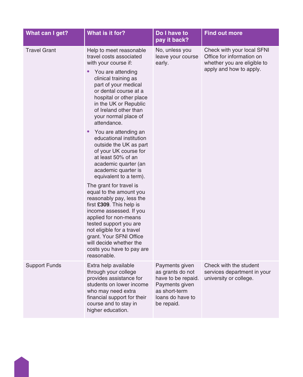| What can I get?      | What is it for?                                                                                                                                                                                                                                                                                                                                                                                                                                                                                                                                                                                                                                                                                                                                                                  | Do I have to<br>pay it back?                                                                                                  | <b>Find out more</b>                                                                                              |
|----------------------|----------------------------------------------------------------------------------------------------------------------------------------------------------------------------------------------------------------------------------------------------------------------------------------------------------------------------------------------------------------------------------------------------------------------------------------------------------------------------------------------------------------------------------------------------------------------------------------------------------------------------------------------------------------------------------------------------------------------------------------------------------------------------------|-------------------------------------------------------------------------------------------------------------------------------|-------------------------------------------------------------------------------------------------------------------|
| <b>Travel Grant</b>  | Help to meet reasonable<br>travel costs associated<br>with your course if:<br>You are attending<br>clinical training as<br>part of your medical<br>or dental course at a<br>hospital or other place<br>in the UK or Republic<br>of Ireland other than<br>your normal place of<br>attendance.<br>You are attending an<br>educational institution<br>outside the UK as part<br>of your UK course for<br>at least 50% of an<br>academic quarter (an<br>academic quarter is<br>equivalent to a term).<br>The grant for travel is<br>equal to the amount you<br>reasonably pay, less the<br>first £309. This help is<br>income assessed. If you<br>applied for non-means<br>tested support you are<br>not eligible for a travel<br>grant. Your SFNI Office<br>will decide whether the | No, unless you<br>leave your course<br>early.                                                                                 | Check with your local SFNI<br>Office for information on<br>whether you are eligible to<br>apply and how to apply. |
|                      | costs you have to pay are<br>reasonable.                                                                                                                                                                                                                                                                                                                                                                                                                                                                                                                                                                                                                                                                                                                                         |                                                                                                                               |                                                                                                                   |
| <b>Support Funds</b> | Extra help available<br>through your college<br>provides assistance for<br>students on lower income<br>who may need extra<br>financial support for their<br>course and to stay in<br>higher education.                                                                                                                                                                                                                                                                                                                                                                                                                                                                                                                                                                           | Payments given<br>as grants do not<br>have to be repaid.<br>Payments given<br>as short-term<br>loans do have to<br>be repaid. | Check with the student<br>services department in your<br>university or college.                                   |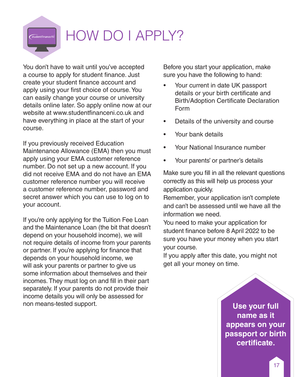## HOW DO I APPLY?

You don't have to wait until you've accepted a course to apply for student finance. Just create your student finance account and apply using your first choice of course. You can easily change your course or university details online later. So apply online now at our website at www.studentfinanceni.co.uk and have everything in place at the start of your course.

If you previously received Education Maintenance Allowance (EMA) then you must apply using your EMA customer reference number. Do not set up a new account. If you did not receive EMA and do not have an EMA customer reference number you will receive a customer reference number, password and secret answer which you can use to log on to your account.

If you're only applying for the Tuition Fee Loan and the Maintenance Loan (the bit that doesn't depend on your household income), we will not require details of income from your parents or partner. If you're applying for finance that depends on your household income, we will ask your parents or partner to give us some information about themselves and their incomes. They must log on and fill in their part separately. If your parents do not provide their income details you will only be assessed for non means-tested support.

Before you start your application, make sure you have the following to hand:

- Your current in date UK passport details or your birth certificate and Birth/Adoption Certificate Declaration Form
- Details of the university and course
- Your bank details
- Your National Insurance number
- Your parents' or partner's details

Make sure you fill in all the relevant questions correctly as this will help us process your application quickly.

Remember, your application isn't complete and can't be assessed until we have all the information we need.

You need to make your application for student finance before 8 April 2022 to be sure you have your money when you start your course.

If you apply after this date, you might not get all your money on time.

> **Use your full name as it appears on your passport or birth certificate.**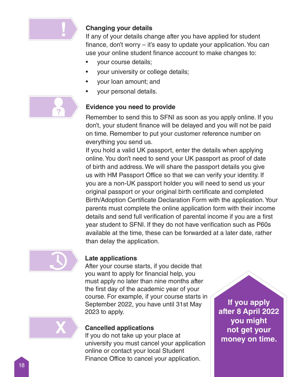

#### **Changing your details**

If any of your details change after you have applied for student finance, don't worry – it's easy to update your application. You can use your online student finance account to make changes to:

- your course details;
- your university or college details;
- your loan amount; and
- your personal details.



#### **Evidence you need to provide**

Remember to send this to SFNI as soon as you apply online. If you don't, your student finance will be delayed and you will not be paid on time. Remember to put your customer reference number on everything you send us.

If you hold a valid UK passport, enter the details when applying online. You don't need to send your UK passport as proof of date of birth and address. We will share the passport details you give us with HM Passport Office so that we can verify your identity. If you are a non-UK passport holder you will need to send us your original passport or your original birth certificate and completed Birth/Adoption Certificate Declaration Form with the application. Your parents must complete the online application form with their income details and send full verification of parental income if you are a first year student to SFNI. If they do not have verification such as P60s available at the time, these can be forwarded at a later date, rather than delay the application.



**X**

### **Late applications**

After your course starts, if you decide that you want to apply for financial help, you must apply no later than nine months after the first day of the academic year of your course. For example, if your course starts in September 2022, you have until 31st May 2023 to apply.

#### **Cancelled applications**

If you do not take up your place at university you must cancel your application online or contact your local Student Finance Office to cancel your application.

**If you apply after 8 April 2022 you might not get your money on time.**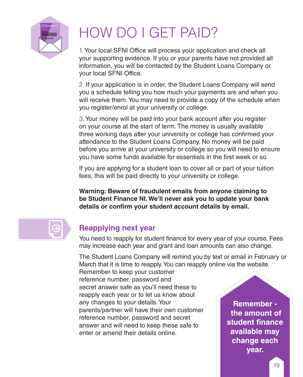

## HOW DO I GET PAID?

1. Your local SFNI Office will process your application and check all your supporting evidence. If you or your parents have not provided all information, you will be contacted by the Student Loans Company or your local SFNI Office.

2. If your application is in order, the Student Loans Company will send you a schedule telling you how much your payments are and when you will receive them. You may need to provide a copy of the schedule when you register/enrol at your university or college.

3. Your money will be paid into your bank account after you register on your course at the start of term. The money is usually available three working days after your university or college has confirmed your attendance to the Student Loans Company. No money will be paid before you arrive at your university or college so you will need to ensure you have some funds available for essentials in the first week or so.

If you are applying for a student loan to cover all or part of your tuition fees, this will be paid directly to your university or college.

**Warning: Beware of fraudulent emails from anyone claiming to be Student Finance NI. We'll never ask you to update your bank details or confirm your student account details by email.**



## **Reapplying next year**

You need to reapply for student finance for every year of your course. Fees may increase each year and grant and loan amounts can also change.

The Student Loans Company will remind you by text or email in February or March that it is time to reapply. You can reapply online via the website.

Remember to keep your customer reference number, password and secret answer safe as you'll need these to reapply each year or to let us know about any changes to your details. Your parents/partner will have their own customer reference number, password and secret answer and will need to keep these safe to enter or amend their details online.

**Remember the amount of student finance available may change each year.**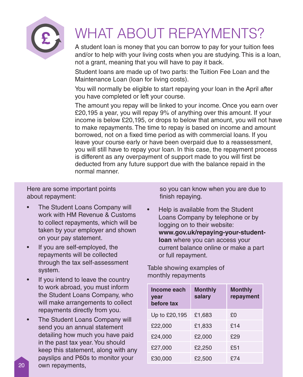

## WHAT ABOUT REPAYMENTS?

A student loan is money that you can borrow to pay for your tuition fees and/or to help with your living costs when you are studying. This is a loan, not a grant, meaning that you will have to pay it back.

Student loans are made up of two parts: the Tuition Fee Loan and the Maintenance Loan (loan for living costs).

You will normally be eligible to start repaying your loan in the April after you have completed or left your course.

The amount you repay will be linked to your income. Once you earn over £20,195 a year, you will repay 9% of anything over this amount. If your income is below £20,195, or drops to below that amount, you will not have to make repayments. The time to repay is based on income and amount borrowed, not on a fixed time period as with commercial loans. If you leave your course early or have been overpaid due to a reassessment, you will still have to repay your loan. In this case, the repayment process is different as any overpayment of support made to you will first be deducted from any future support due with the balance repaid in the normal manner.

Here are some important points about repayment:

- The Student Loans Company will work with HM Revenue & Customs to collect repayments, which will be taken by your employer and shown on your pay statement.
- If you are self-employed, the repayments will be collected through the tax self-assessment system.
- If you intend to leave the country to work abroad, you must inform the Student Loans Company, who will make arrangements to collect repayments directly from you.
- The Student Loans Company will send you an annual statement detailing how much you have paid in the past tax year. You should keep this statement, along with any payslips and P60s to monitor your own repayments,

so you can know when you are due to finish repaying.

• Help is available from the Student Loans Company by telephone or by logging on to their website: **www.gov.uk/repaying-your-studentloan** where you can access your current balance online or make a part or full repayment.

Table showing examples of monthly repayments

| Income each<br><b>vear</b><br>before tax | <b>Monthly</b><br>salary | <b>Monthly</b><br>repayment |
|------------------------------------------|--------------------------|-----------------------------|
| Up to £20,195                            | £1,683                   | £Ο                          |
| £22,000                                  | £1,833                   | £14                         |
| £24,000                                  | £2,000                   | £29                         |
| £27,000                                  | £2,250                   | £51                         |
| £30,000                                  | £2,500                   | \$74                        |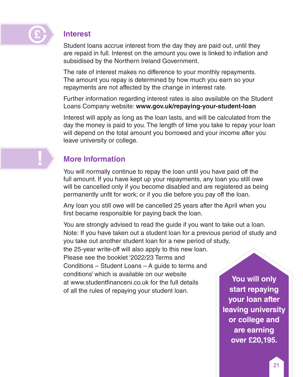

**!**

## **Interest**

Student loans accrue interest from the day they are paid out, until they are repaid in full. Interest on the amount you owe is linked to inflation and subsidised by the Northern Ireland Government.

The rate of interest makes no difference to your monthly repayments. The amount you repay is determined by how much you earn so your repayments are not affected by the change in interest rate.

Further information regarding interest rates is also available on the Student Loans Company website: **www.gov.uk/repaying-your-student-loan**

Interest will apply as long as the loan lasts, and will be calculated from the day the money is paid to you. The length of time you take to repay your loan will depend on the total amount you borrowed and your income after you leave university or college.

## **More Information**

You will normally continue to repay the loan until you have paid off the full amount. If you have kept up your repayments, any loan you still owe will be cancelled only if you become disabled and are registered as being permanently unfit for work; or if you die before you pay off the loan.

Any loan you still owe will be cancelled 25 years after the April when you first became responsible for paying back the loan.

You are strongly advised to read the guide if you want to take out a loan. Note: If you have taken out a student loan for a previous period of study and you take out another student loan for a new period of study, the 25-year write-off will also apply to this new loan. Please see the booklet '2022/23 Terms and Conditions – Student Loans – A guide to terms and conditions' which is available on our website at www.studentfinanceni.co.uk for the full details of all the rules of repaying your student loan.

**You will only start repaying your loan after leaving university or college and are earning over £20,195.**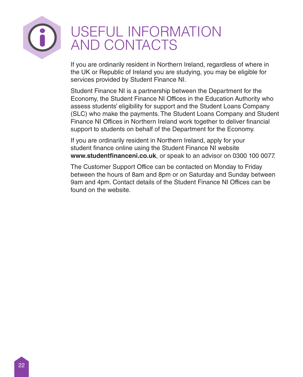

## USEFUL INFORMATION AND CONTACTS

If you are ordinarily resident in Northern Ireland, regardless of where in the UK or Republic of Ireland you are studying, you may be eligible for services provided by Student Finance NI.

Student Finance NI is a partnership between the Department for the Economy, the Student Finance NI Offices in the Education Authority who assess students' eligibility for support and the Student Loans Company (SLC) who make the payments. The Student Loans Company and Student Finance NI Offices in Northern Ireland work together to deliver financial support to students on behalf of the Department for the Economy.

If you are ordinarily resident in Northern Ireland, apply for your student finance online using the Student Finance NI website **www.studentfinanceni.co.uk**, or speak to an advisor on 0300 100 0077.

The Customer Support Office can be contacted on Monday to Friday between the hours of 8am and 8pm or on Saturday and Sunday between 9am and 4pm. Contact details of the Student Finance NI Offices can be found on the website.